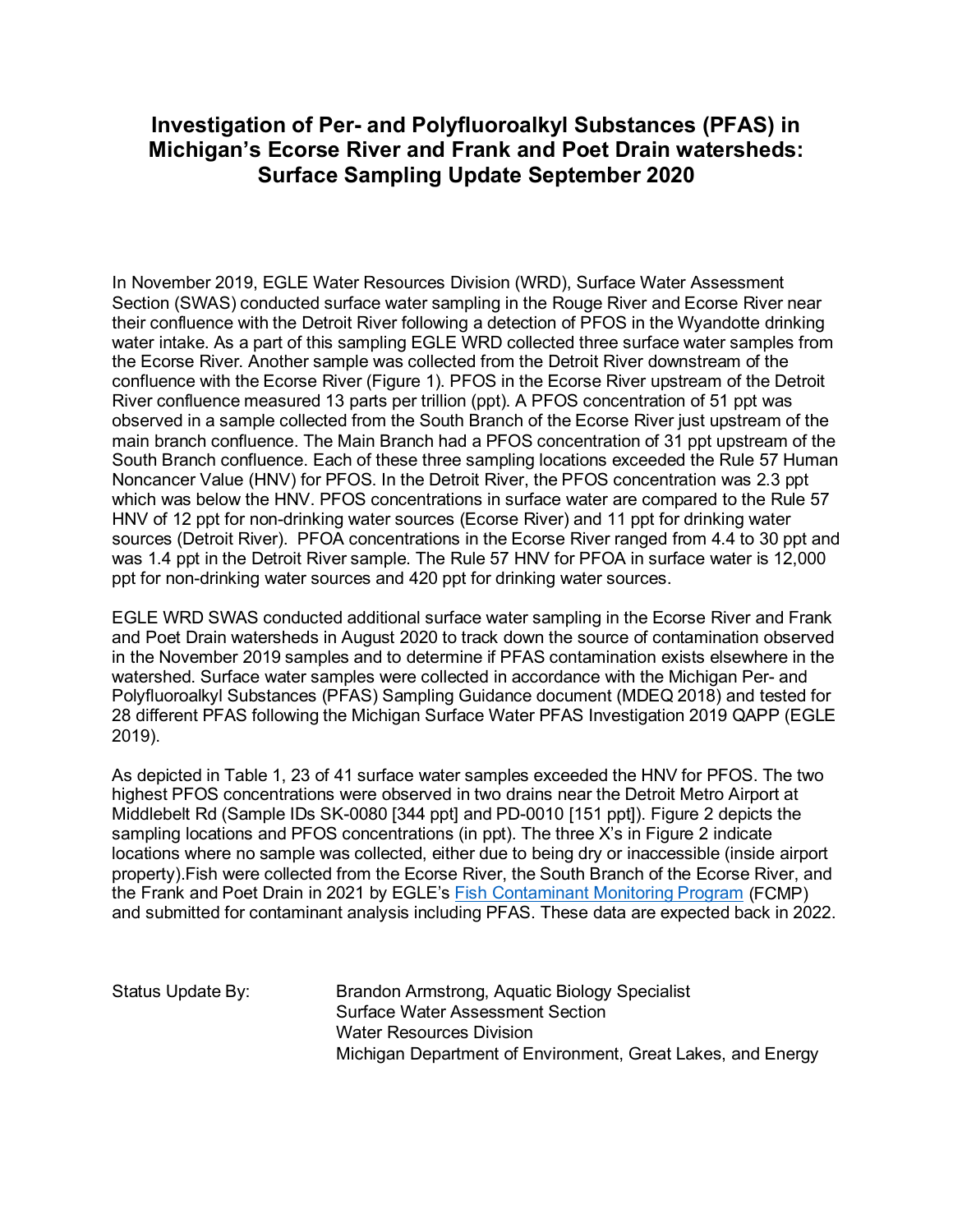## **Investigation of Per- and Polyfluoroalkyl Substances (PFAS) in Michigan's Ecorse River and Frank and Poet Drain watersheds: Surface Sampling Update September 2020**

In November 2019, EGLE Water Resources Division (WRD), Surface Water Assessment Section (SWAS) conducted surface water sampling in the Rouge River and Ecorse River near their confluence with the Detroit River following a detection of PFOS in the Wyandotte drinking water intake. As a part of this sampling EGLE WRD collected three surface water samples from the Ecorse River. Another sample was collected from the Detroit River downstream of the confluence with the Ecorse River (Figure 1). PFOS in the Ecorse River upstream of the Detroit River confluence measured 13 parts per trillion (ppt). A PFOS concentration of 51 ppt was observed in a sample collected from the South Branch of the Ecorse River just upstream of the main branch confluence. The Main Branch had a PFOS concentration of 31 ppt upstream of the South Branch confluence. Each of these three sampling locations exceeded the Rule 57 Human Noncancer Value (HNV) for PFOS. In the Detroit River, the PFOS concentration was 2.3 ppt which was below the HNV. PFOS concentrations in surface water are compared to the Rule 57 HNV of 12 ppt for non-drinking water sources (Ecorse River) and 11 ppt for drinking water sources (Detroit River). PFOA concentrations in the Ecorse River ranged from 4.4 to 30 ppt and was 1.4 ppt in the Detroit River sample. The Rule 57 HNV for PFOA in surface water is 12,000 ppt for non-drinking water sources and 420 ppt for drinking water sources.

EGLE WRD SWAS conducted additional surface water sampling in the Ecorse River and Frank and Poet Drain watersheds in August 2020 to track down the source of contamination observed in the November 2019 samples and to determine if PFAS contamination exists elsewhere in the watershed. Surface water samples were collected in accordance with the Michigan Per- and Polyfluoroalkyl Substances (PFAS) Sampling Guidance document (MDEQ 2018) and tested for 28 different PFAS following the Michigan Surface Water PFAS Investigation 2019 QAPP (EGLE 2019).

As depicted in Table 1, 23 of 41 surface water samples exceeded the HNV for PFOS. The two highest PFOS concentrations were observed in two drains near the Detroit Metro Airport at Middlebelt Rd (Sample IDs SK-0080 [344 ppt] and PD-0010 [151 ppt]). Figure 2 depicts the sampling locations and PFOS concentrations (in ppt). The three X's in Figure 2 indicate locations where no sample was collected, either due to being dry or inaccessible (inside airport property).Fish were collected from the Ecorse River, the South Branch of the Ecorse River, and the Frank and Poet Drain in 2021 by EGLE's [Fish Contaminant Monitoring Program](https://www.michigan.gov/egle/0,9429,7-135-3313_3681_3686_3728-32393--,00.html) (FCMP) and submitted for contaminant analysis including PFAS. These data are expected back in 2022.

Status Update By: Brandon Armstrong, Aquatic Biology Specialist Surface Water Assessment Section Water Resources Division Michigan Department of Environment, Great Lakes, and Energy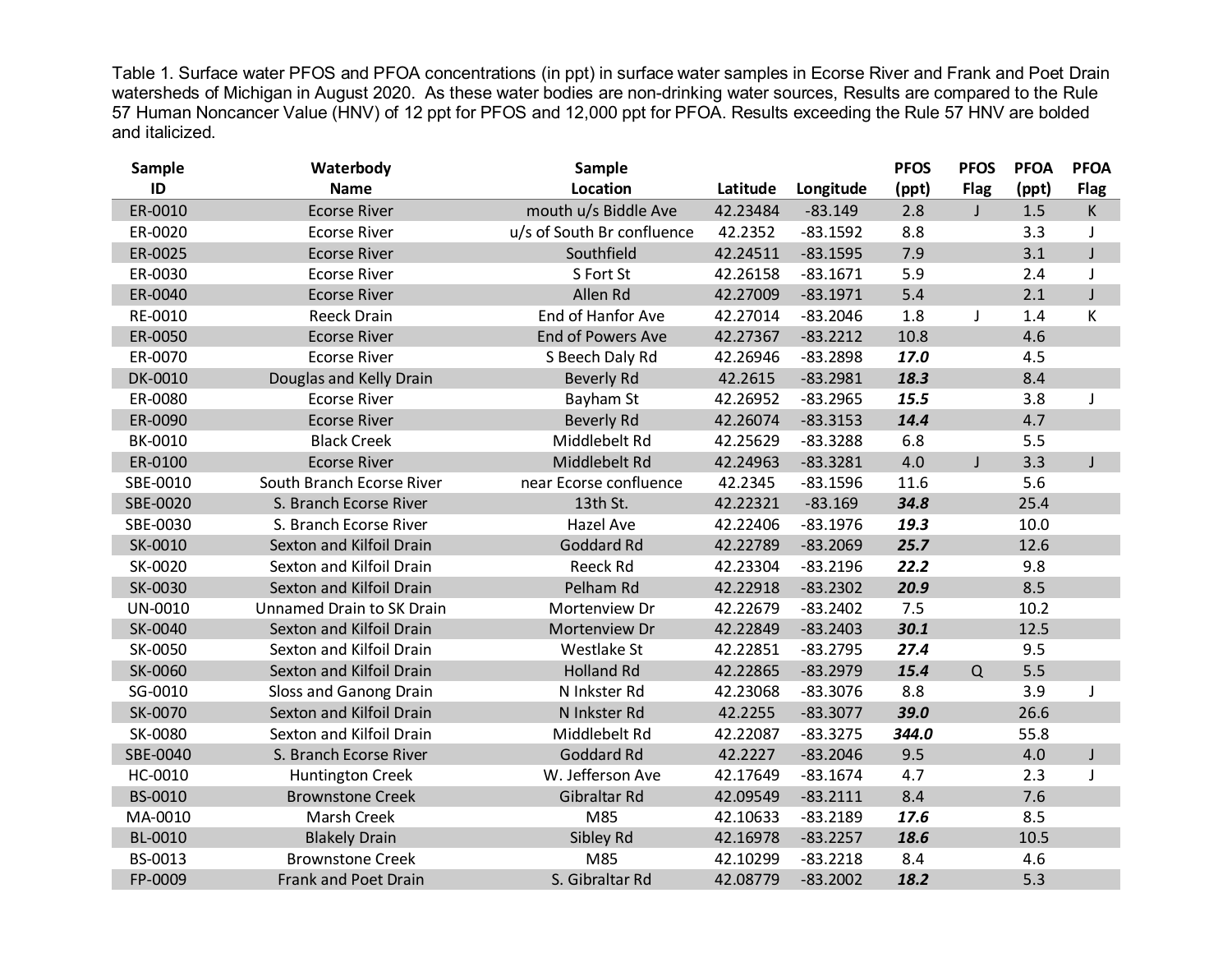Table 1. Surface water PFOS and PFOA concentrations (in ppt) in surface water samples in Ecorse River and Frank and Poet Drain watersheds of Michigan in August 2020. As these water bodies are non-drinking water sources, Results are compared to the Rule 57 Human Noncancer Value (HNV) of 12 ppt for PFOS and 12,000 ppt for PFOA. Results exceeding the Rule 57 HNV are bolded and italicized.

| <b>Sample</b> | Waterbody                 | Sample                     |          |            | <b>PFOS</b> | <b>PFOS</b> | <b>PFOA</b> | <b>PFOA</b>  |
|---------------|---------------------------|----------------------------|----------|------------|-------------|-------------|-------------|--------------|
| ID            | <b>Name</b>               | <b>Location</b>            | Latitude | Longitude  | (ppt)       | <b>Flag</b> | (ppt)       | <b>Flag</b>  |
| ER-0010       | <b>Ecorse River</b>       | mouth u/s Biddle Ave       | 42.23484 | $-83.149$  | 2.8         | J           | 1.5         | K            |
| ER-0020       | <b>Ecorse River</b>       | u/s of South Br confluence | 42.2352  | $-83.1592$ | 8.8         |             | 3.3         | J            |
| ER-0025       | <b>Ecorse River</b>       | Southfield                 | 42.24511 | $-83.1595$ | 7.9         |             | 3.1         | $\mathsf{J}$ |
| ER-0030       | <b>Ecorse River</b>       | S Fort St                  | 42.26158 | $-83.1671$ | 5.9         |             | 2.4         | J            |
| ER-0040       | <b>Ecorse River</b>       | Allen Rd                   | 42.27009 | $-83.1971$ | 5.4         |             | 2.1         | $\mathsf J$  |
| RE-0010       | <b>Reeck Drain</b>        | End of Hanfor Ave          | 42.27014 | $-83.2046$ | 1.8         |             | 1.4         | К            |
| ER-0050       | <b>Ecorse River</b>       | End of Powers Ave          | 42.27367 | $-83.2212$ | 10.8        |             | 4.6         |              |
| ER-0070       | <b>Ecorse River</b>       | S Beech Daly Rd            | 42.26946 | $-83.2898$ | 17.0        |             | 4.5         |              |
| DK-0010       | Douglas and Kelly Drain   | <b>Beverly Rd</b>          | 42.2615  | $-83.2981$ | 18.3        |             | 8.4         |              |
| ER-0080       | <b>Ecorse River</b>       | Bayham St                  | 42.26952 | $-83.2965$ | 15.5        |             | 3.8         |              |
| ER-0090       | <b>Ecorse River</b>       | <b>Beverly Rd</b>          | 42.26074 | $-83.3153$ | 14.4        |             | 4.7         |              |
| BK-0010       | <b>Black Creek</b>        | Middlebelt Rd              | 42.25629 | $-83.3288$ | 6.8         |             | 5.5         |              |
| ER-0100       | <b>Ecorse River</b>       | Middlebelt Rd              | 42.24963 | $-83.3281$ | 4.0         | J           | 3.3         | $\mathsf{J}$ |
| SBE-0010      | South Branch Ecorse River | near Ecorse confluence     | 42.2345  | $-83.1596$ | 11.6        |             | 5.6         |              |
| SBE-0020      | S. Branch Ecorse River    | 13th St.                   | 42.22321 | $-83.169$  | 34.8        |             | 25.4        |              |
| SBE-0030      | S. Branch Ecorse River    | <b>Hazel Ave</b>           | 42.22406 | $-83.1976$ | 19.3        |             | 10.0        |              |
| SK-0010       | Sexton and Kilfoil Drain  | Goddard Rd                 | 42.22789 | $-83.2069$ | 25.7        |             | 12.6        |              |
| SK-0020       | Sexton and Kilfoil Drain  | Reeck Rd                   | 42.23304 | $-83.2196$ | 22.2        |             | 9.8         |              |
| SK-0030       | Sexton and Kilfoil Drain  | Pelham Rd                  | 42.22918 | $-83.2302$ | 20.9        |             | 8.5         |              |
| UN-0010       | Unnamed Drain to SK Drain | Mortenview Dr              | 42.22679 | $-83.2402$ | 7.5         |             | 10.2        |              |
| SK-0040       | Sexton and Kilfoil Drain  | Mortenview Dr              | 42.22849 | $-83.2403$ | 30.1        |             | 12.5        |              |
| SK-0050       | Sexton and Kilfoil Drain  | Westlake St                | 42.22851 | $-83.2795$ | 27.4        |             | 9.5         |              |
| SK-0060       | Sexton and Kilfoil Drain  | <b>Holland Rd</b>          | 42.22865 | $-83.2979$ | 15.4        | Q           | 5.5         |              |
| SG-0010       | Sloss and Ganong Drain    | N Inkster Rd               | 42.23068 | $-83.3076$ | 8.8         |             | 3.9         |              |
| SK-0070       | Sexton and Kilfoil Drain  | N Inkster Rd               | 42.2255  | $-83.3077$ | 39.0        |             | 26.6        |              |
| SK-0080       | Sexton and Kilfoil Drain  | Middlebelt Rd              | 42.22087 | $-83.3275$ | 344.0       |             | 55.8        |              |
| SBE-0040      | S. Branch Ecorse River    | Goddard Rd                 | 42.2227  | $-83.2046$ | 9.5         |             | 4.0         | $\mathsf J$  |
| HC-0010       | <b>Huntington Creek</b>   | W. Jefferson Ave           | 42.17649 | $-83.1674$ | 4.7         |             | 2.3         |              |
| BS-0010       | <b>Brownstone Creek</b>   | Gibraltar Rd               | 42.09549 | $-83.2111$ | 8.4         |             | 7.6         |              |
| MA-0010       | Marsh Creek               | M85                        | 42.10633 | $-83.2189$ | 17.6        |             | 8.5         |              |
| BL-0010       | <b>Blakely Drain</b>      | Sibley Rd                  | 42.16978 | $-83.2257$ | 18.6        |             | 10.5        |              |
| BS-0013       | <b>Brownstone Creek</b>   | M85                        | 42.10299 | $-83.2218$ | 8.4         |             | 4.6         |              |
| FP-0009       | Frank and Poet Drain      | S. Gibraltar Rd            | 42.08779 | $-83.2002$ | 18.2        |             | 5.3         |              |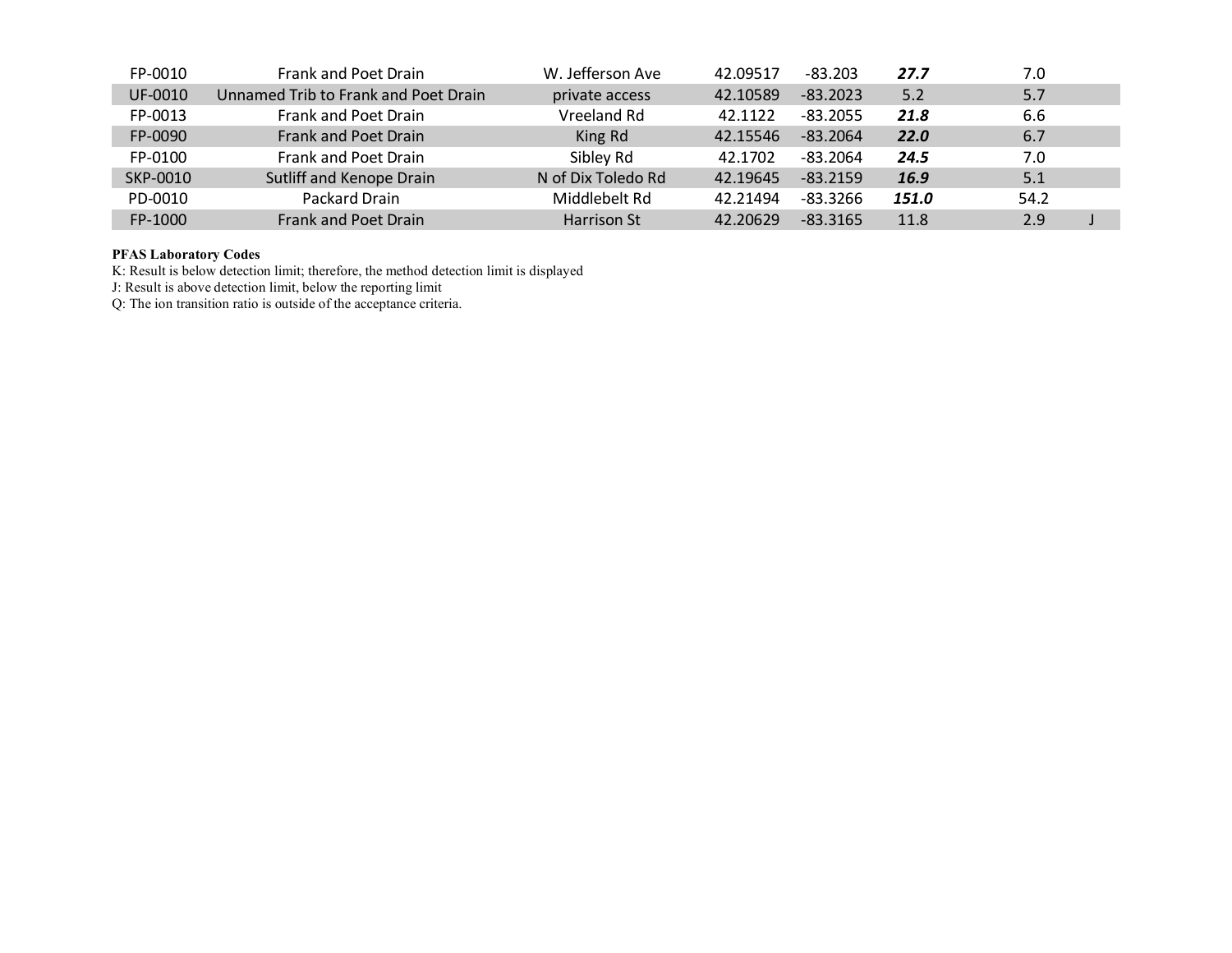| FP-0010  | Frank and Poet Drain                 | W. Jefferson Ave   | 42.09517 | $-83.203$  | 27.7        | 7.0  |
|----------|--------------------------------------|--------------------|----------|------------|-------------|------|
| UF-0010  | Unnamed Trib to Frank and Poet Drain | private access     | 42.10589 | $-83.2023$ | 5.2         | 5.7  |
| FP-0013  | Frank and Poet Drain                 | Vreeland Rd        | 42.1122  | $-83.2055$ | 21.8        | 6.6  |
| FP-0090  | Frank and Poet Drain                 | King Rd            | 42.15546 | $-83.2064$ | <b>22.0</b> | 6.7  |
| FP-0100  | Frank and Poet Drain                 | Sibley Rd          | 42.1702  | $-83.2064$ | 24.5        | 7.0  |
| SKP-0010 | Sutliff and Kenope Drain             | N of Dix Toledo Rd | 42.19645 | $-83.2159$ | 16.9        | 5.1  |
| PD-0010  | Packard Drain                        | Middlebelt Rd      | 42.21494 | $-83.3266$ | 151.0       | 54.2 |
| FP-1000  | Frank and Poet Drain                 | Harrison St        | 42.20629 | $-83.3165$ | 11.8        | 2.9  |

## **PFAS Laboratory Codes**

K: Result is below detection limit; therefore, the method detection limit is displayed

J: Result is above detection limit, below the reporting limit

Q: The ion transition ratio is outside of the acceptance criteria.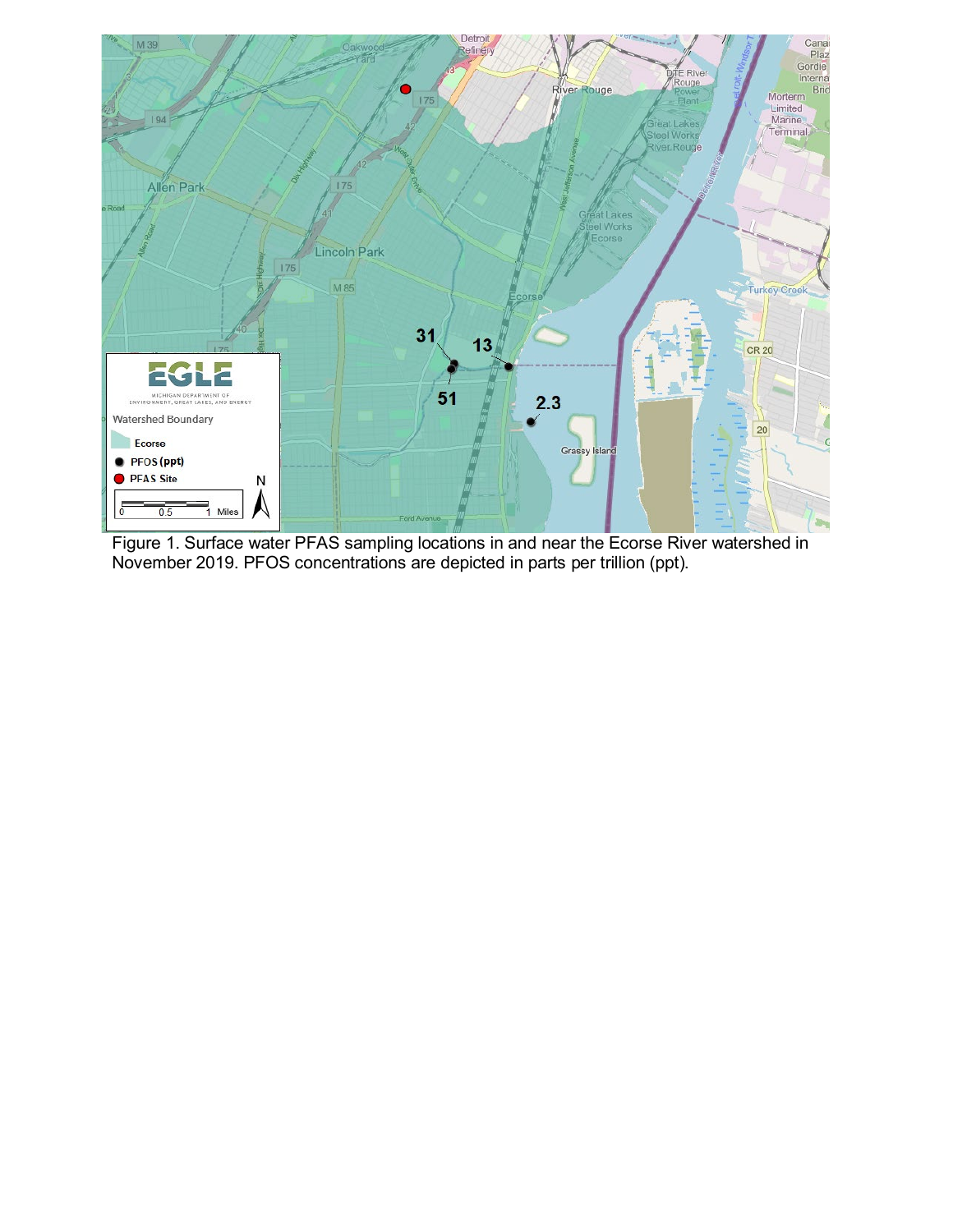

Figure 1. Surface water PFAS sampling locations in and near the Ecorse River watershed in November 2019. PFOS concentrations are depicted in parts per trillion (ppt).